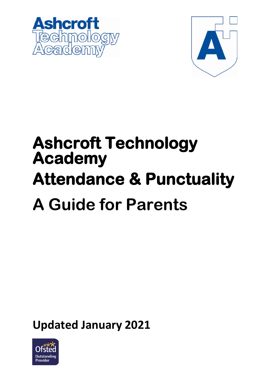



# **Ashcroft Technology Academy Attendance & Punctuality A Guide for Parents**

**Updated January 2021** 

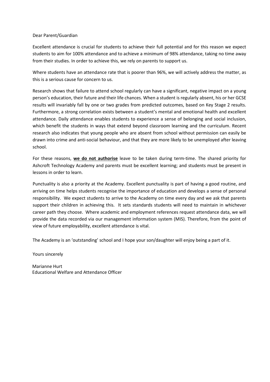#### Dear Parent/Guardian

Excellent attendance is crucial for students to achieve their full potential and for this reason we expect students to aim for 100% attendance and to achieve a minimum of 98% attendance, taking no time away from their studies. In order to achieve this, we rely on parents to support us.

Where students have an attendance rate that is poorer than 96%, we will actively address the matter, as this is a serious cause for concern to us.

Research shows that failure to attend school regularly can have a significant, negative impact on a young person's education, their future and their life chances. When a student is regularly absent, his or her GCSE results will invariably fall by one or two grades from predicted outcomes, based on Key Stage 2 results. Furthermore, a strong correlation exists between a student's mental and emotional health and excellent attendance. Daily attendance enables students to experience a sense of belonging and social inclusion, which benefit the students in ways that extend beyond classroom learning and the curriculum. Recent research also indicates that young people who are absent from school without permission can easily be drawn into crime and anti-social behaviour, and that they are more likely to be unemployed after leaving school.

For these reasons, **we do not authorise** leave to be taken during term-time. The shared priority for Ashcroft Technology Academy and parents must be excellent learning; and students must be present in lessons in order to learn.

Punctuality is also a priority at the Academy. Excellent punctuality is part of having a good routine, and arriving on time helps students recognise the importance of education and develops a sense of personal responsibility. We expect students to arrive to the Academy on time every day and we ask that parents support their children in achieving this. It sets standards students will need to maintain in whichever career path they choose. Where academic and employment references request attendance data, we will provide the data recorded via our management information system (MIS). Therefore, from the point of view of future employability, excellent attendance is vital.

The Academy is an 'outstanding' school and I hope your son/daughter will enjoy being a part of it.

Yours sincerely

Marianne Hurt Educational Welfare and Attendance Officer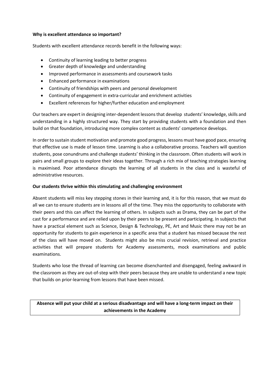#### **Why is excellent attendance so important?**

Students with excellent attendance records benefit in the following ways:

- Continuity of learning leading to better progress
- Greater depth of knowledge and understanding
- Improved performance in assessments and coursework tasks
- Enhanced performance in examinations
- Continuity of friendships with peers and personal development
- Continuity of engagement in extra-curricular and enrichment activities
- Excellent references for higher/further education and employment

Our teachers are expert in designing inter-dependent lessons that develop students' knowledge, skills and understanding in a highly structured way. They start by providing students with a foundation and then build on that foundation, introducing more complex content as students' competence develops.

In order to sustain student motivation and promote good progress, lessons must have good pace, ensuring that effective use is made of lesson time. Learning is also a collaborative process. Teachers will question students, pose conundrums and challenge students' thinking in the classroom. Often students will work in pairs and small groups to explore their ideas together. Through a rich mix of teaching strategies learning is maximised. Poor attendance disrupts the learning of all students in the class and is wasteful of administrative resources.

## **Our students thrive within this stimulating and challenging environment**

Absent students will miss key stepping stones in their learning and, it is for this reason, that we must do all we can to ensure students are in lessons all of the time. They miss the opportunity to collaborate with their peers and this can affect the learning of others. In subjects such as Drama, they can be part of the cast for a performance and are relied upon by their peers to be present and participating. In subjects that have a practical element such as Science, Design & Technology, PE, Art and Music there may not be an opportunity for students to gain experience in a specific area that a student has missed because the rest of the class will have moved on. Students might also be miss crucial revision, retrieval and practice activities that will prepare students for Academy assessments, mock examinations and public examinations.

Students who lose the thread of learning can become disenchanted and disengaged, feeling awkward in the classroom as they are out-of-step with their peers because they are unable to understand a new topic that builds on prior-learning from lessons that have been missed.

**Absence will put your child at a serious disadvantage and will have a long-term impact on their achievements in the Academy**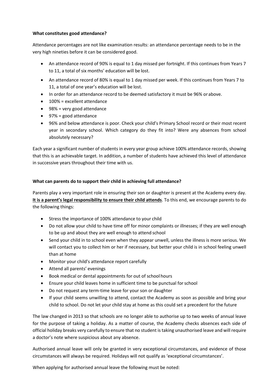## **What constitutes good attendance?**

Attendance percentages are not like examination results: an attendance percentage needs to be in the very high nineties before it can be considered good.

- An attendance record of 90% is equal to 1 day missed per fortnight. If this continues from Years 7 to 11, a total of six months' education will be lost.
- An attendance record of 80% is equal to 1 day missed per week. If this continues from Years 7 to 11, a total of one year's education will be lost.
- In order for an attendance record to be deemed satisfactory it must be 96% or above.
- 100% = excellent attendance
- 98% = very good attendance
- 97% = good attendance
- 96% and below attendance is poor. Check your child's Primary School record or their most recent year in secondary school. Which category do they fit into? Were any absences from school absolutely necessary?

Each year a significant number of students in every year group achieve 100% attendance records, showing that this is an achievable target. In addition, a number of students have achieved this level of attendance in successive years throughout their time with us.

## **What can parents do to support their child in achieving full attendance?**

Parents play a very important role in ensuring their son or daughter is present at the Academy every day. **It is a parent's legal responsibility to ensure their child attends**. To this end, we encourage parents to do the following things:

- Stress the importance of 100% attendance to your child
- Do not allow your child to have time off for minor complaints or illnesses; if they are well enough to be up and about they are well enough to attend school
- Send your child in to school even when they appear unwell, unless the illness is more serious. We will contact you to collect him or her if necessary, but better your child is in school feeling unwell than at home
- Monitor your child's attendance report carefully
- Attend all parents' evenings
- Book medical or dental appointments for out of school hours
- Ensure your child leaves home in sufficient time to be punctual forschool
- Do not request any term-time leave for your son or daughter
- If your child seems unwilling to attend, contact the Academy as soon as possible and bring your child to school. Do not let your child stay at home as this could set a precedent for the future

The law changed in 2013 so that schools are no longer able to authorise up to two weeks of annual leave for the purpose of taking a holiday. As a matter of course, the Academy checks absences each side of official holiday breaks very carefully to ensure that no student is taking unauthorised leave and will require a doctor's note where suspicious about any absence.

Authorised annual leave will only be granted in very exceptional circumstances, and evidence of those circumstances will always be required. Holidays will not qualify as 'exceptional circumstances'.

When applying for authorised annual leave the following must be noted: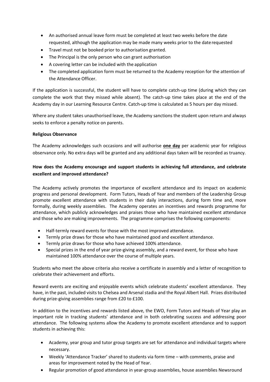- An authorised annual leave form must be completed at least two weeks before the date requested, although the application may be made many weeks prior to the daterequested
- Travel must not be booked prior to authorisation granted.
- The Principal is the only person who can grant authorisation
- A covering letter can be included with the application
- The completed application form must be returned to the Academy reception for the attention of the Attendance Officer.

If the application is successful, the student will have to complete catch-up time (during which they can complete the work that they missed while absent). The catch-up time takes place at the end of the Academy day in our Learning Resource Centre. Catch-up time is calculated as 5 hours per day missed.

Where any student takes unauthorised leave, the Academy sanctions the student upon return and always seeks to enforce a penalty notice on parents.

## **Religious Observance**

The Academy acknowledges such occasions and will authorise **one day** per academic year for religious observance only. No extra days will be granted and any additional days taken will be recorded as truancy.

# **How does the Academy encourage and support students in achieving full attendance, and celebrate excellent and improved attendance?**

The Academy actively promotes the importance of excellent attendance and its impact on academic progress and personal development. Form Tutors, Heads of Year and members of the Leadership Group promote excellent attendance with students in their daily interactions, during form time and, more formally, during weekly assemblies. The Academy operates an incentives and rewards programme for attendance, which publicly acknowledges and praises those who have maintained excellent attendance and those who are making improvements. The programme comprises the following components:

- Half-termly reward events for those with the most improved attendance.
- Termly prize draws for those who have maintained good and excellent attendance.
- Termly prize draws for those who have achieved 100% attendance.
- Special prizes in the end of year prize-giving assembly, and a reward event, for those who have maintained 100% attendance over the course of multiple years.

Students who meet the above criteria also receive a certificate in assembly and a letter of recognition to celebrate their achievement and efforts.

Reward events are exciting and enjoyable events which celebrate students' excellent attendance. They have, in the past, included visits to Chelsea and Arsenal stadia and the Royal Albert Hall. Prizes distributed during prize-giving assemblies range from £20 to £100.

In addition to the incentives and rewards listed above, the EWO, Form Tutors and Heads of Year play an important role in tracking students' attendance and in both celebrating success and addressing poor attendance. The following systems allow the Academy to promote excellent attendance and to support students in achieving this:

- Academy, year group and tutor group targets are set for attendance and individual targets where necessary.
- Weekly 'Attendance Tracker' shared to students via form time with comments, praise and areas for improvement noted by the Head of Year.
- Regular promotion of good attendance in year-group assemblies, house assemblies Newsround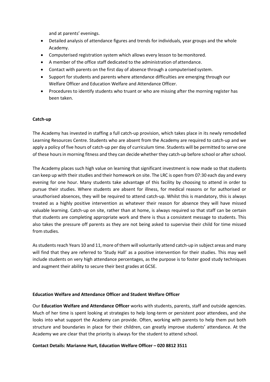and at parents' evenings.

- Detailed analysis of attendance figures and trends for individuals, year groups and the whole Academy.
- Computerised registration system which allows every lesson to bemonitored.
- A member of the office staff dedicated to the administration of attendance.
- Contact with parents on the first day of absence through a computerised system.
- Support for students and parents where attendance difficulties are emerging through our Welfare Officer and Education Welfare and Attendance Officer.
- Procedures to identify students who truant or who are missing after the morning register has been taken.

#### **Catch-up**

The Academy has invested in staffing a full catch-up provision, which takes place in its newly remodelled Learning Resources Centre. Students who are absent from the Academy are required to catch-up and we apply a policy of five hours of catch-up per day of curriculum time. Students will be permitted to serve one of these hours in morning fitness and they can decide whether they catch-up before school or after school.

The Academy places such high value on learning that significant investment is now made so that students can keep up with their studies and their homework on site. The LRC is open from 07:30 each day and every evening for one hour. Many students take advantage of this facility by choosing to attend in order to pursue their studies. Where students are absent for illness, for medical reasons or for authorised or unauthorised absences, they will be required to attend catch-up. Whilst this is mandatory, this is always treated as a highly positive intervention as whatever their reason for absence they will have missed valuable learning. Catch-up on site, rather than at home, is always required so that staff can be certain that students are completing appropriate work and there is thus a consistent message to students. This also takes the pressure off parents as they are not being asked to supervise their child for time missed from studies.

As students reach Years 10 and 11, more of them will voluntarily attend catch-up in subject areas and many will find that they are referred to 'Study Hall' as a positive intervention for their studies. This may well include students on very high attendance percentages, as the purpose is to foster good study techniques and augment their ability to secure their best grades at GCSE.

#### **Education Welfare and Attendance Officer and Student Welfare Officer**

Our **Education Welfare and Attendance Officer** works with students, parents, staff and outside agencies. Much of her time is spent looking at strategies to help long-term or persistent poor attendees, and she looks into what support the Academy can provide. Often, working with parents to help them put both structure and boundaries in place for their children, can greatly improve students' attendance. At the Academy we are clear that the priority is always for the student to attend school.

#### **Contact Details: Marianne Hurt, Education Welfare Officer – 020 8812 3511**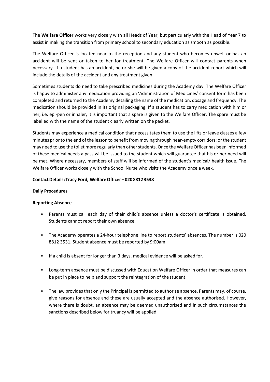The **Welfare Officer** works very closely with all Heads of Year, but particularly with the Head of Year 7 to assist in making the transition from primary school to secondary education as smooth as possible.

The Welfare Officer is located near to the reception and any student who becomes unwell or has an accident will be sent or taken to her for treatment. The Welfare Officer will contact parents when necessary. If a student has an accident, he or she will be given a copy of the accident report which will include the details of the accident and any treatment given.

Sometimes students do need to take prescribed medicines during the Academy day. The Welfare Officer is happy to administer any medication providing an 'Administration of Medicines' consent form has been completed and returned to the Academy detailing the name of the medication, dosage and frequency. The medication should be provided in its original packaging. If a student has to carry medication with him or her, i.e. epi-pen or inhaler, it is important that a spare is given to the Welfare Officer. The spare must be labelled with the name of the student clearly written on the packet.

Students may experience a medical condition that necessitates them to use the lifts or leave classes a few minutes prior to the end of the lesson to benefit from moving through near-empty corridors; or the student may need to use the toilet more regularly than other students. Once the Welfare Officer has been informed of these medical needs a pass will be issued to the student which will guarantee that his or her need will be met. Where necessary, members of staff will be informed of the student's medical/ health issue. The Welfare Officer works closely with the School Nurse who visits the Academy once a week.

## **ContactDetails:Tracy Ford, WelfareOfficer – 0208812 3538**

#### **Daily Procedures**

#### **Reporting Absence**

- Parents must call each day of their child's absence unless a doctor's certificate is obtained. Students cannot report their own absence.
- The Academy operates a 24-hour telephone line to report students' absences. The number is 020 8812 3531. Student absence must be reported by 9:00am.
- If a child is absent for longer than 3 days, medical evidence will be asked for.
- Long-term absence must be discussed with Education Welfare Officer in order that measures can be put in place to help and support the reintegration of the student.
- The law provides that only the Principal is permitted to authorise absence. Parents may, of course, give reasons for absence and these are usually accepted and the absence authorised. However, where there is doubt, an absence may be deemed unauthorised and in such circumstances the sanctions described below for truancy will be applied.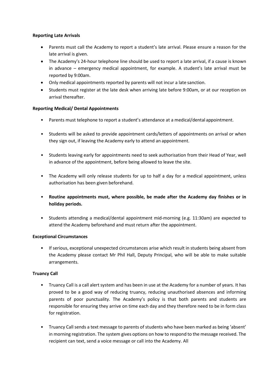## **Reporting Late Arrivals**

- Parents must call the Academy to report a student's late arrival. Please ensure a reason for the late arrival is given.
- The Academy's 24-hour telephone line should be used to report a late arrival, if a cause is known in advance – emergency medical appointment, for example. A student's late arrival must be reported by 9:00am.
- Only medical appointments reported by parents will not incur a late sanction.
- Students must register at the late desk when arriving late before 9:00am, or at our reception on arrival thereafter.

## **Reporting Medical/ Dental Appointments**

- Parents must telephone to report a student's attendance at a medical/dental appointment.
- Students will be asked to provide appointment cards/letters of appointments on arrival or when they sign out, if leaving the Academy early to attend an appointment.
- Students leaving early for appointments need to seek authorisation from their Head of Year, well in advance of the appointment, before being allowed to leave the site.
- The Academy will only release students for up to half a day for a medical appointment, unless authorisation has been given beforehand.
- **Routine appointments must, where possible, be made after the Academy day finishes or in holiday periods.**
- Students attending a medical/dental appointment mid-morning (e.g. 11:30am) are expected to attend the Academy beforehand and must return after the appointment.

#### **Exceptional Circumstances**

• If serious, exceptional unexpected circumstances arise which result in students being absent from the Academy please contact Mr Phil Hall, Deputy Principal, who will be able to make suitable arrangements.

#### **Truancy Call**

- Truancy Call is a call alert system and has been in use at the Academy for a number of years. It has proved to be a good way of reducing truancy, reducing unauthorised absences and informing parents of poor punctuality. The Academy's policy is that both parents and students are responsible for ensuring they arrive on time each day and they therefore need to be in form class for registration.
- Truancy Call sends a text message to parents of students who have been marked as being 'absent' in morning registration. The system gives options on how to respond to the message received. The recipient can text, send a voice message or call into the Academy. All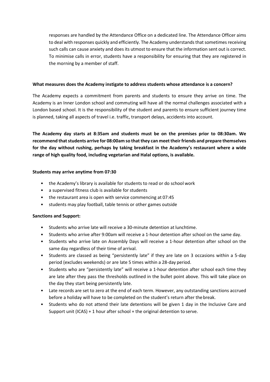responses are handled by the Attendance Office on a dedicated line. The Attendance Officer aims to deal with responses quickly and efficiently. The Academy understands that sometimes receiving such calls can cause anxiety and does its utmost to ensure that the information sent out is correct. To minimise calls in error, students have a responsibility for ensuring that they are registered in the morning by a member of staff.

#### **What measures does the Academy instigate to address students whose attendance is a concern?**

The Academy expects a commitment from parents and students to ensure they arrive on time. The Academy is an Inner London school and commuting will have all the normal challenges associated with a London based school. It is the responsibility of the student and parents to ensure sufficient journey time is planned, taking all aspects of travel i.e. traffic, transport delays, accidents into account.

**The Academy day starts at 8:35am and students must be on the premises prior to 08:30am. We recommend that students arrive for 08:00am so that they can meet their friends and prepare themselves for the day without rushing, perhaps by taking breakfast in the Academy's restaurant where a wide range of high quality food, including vegetarian and Halal options, is available.**

#### **Students may arrive anytime from 07:30**

- the Academy's library is available for students to read or do school work
- a supervised fitness club is available for students
- the restaurant area is open with service commencing at 07:45
- students may play football, table tennis or other games outside

## **Sanctions and Support:**

- Students who arrive late will receive a 30-minute detention at lunchtime.
- Students who arrive after 9:00am will receive a 1-hour detention after school on the same day.
- Students who arrive late on Assembly Days will receive a 1-hour detention after school on the same day regardless of their time of arrival.
- Students are classed as being "persistently late" if they are late on 3 occasions within a 5-day period (excludes weekends) or are late 5 times within a 28-day period.
- Students who are "persistently late" will receive a 1-hour detention after school each time they are late after they pass the thresholds outlined in the bullet point above. This will take place on the day they start being persistently late.
- Late records are set to zero at the end of each term. However, any outstanding sanctions accrued before a holiday will have to be completed on the student's return after thebreak.
- Students who do not attend their late detentions will be given 1 day in the Inclusive Care and Support unit (ICAS) + 1 hour after school + the original detention to serve.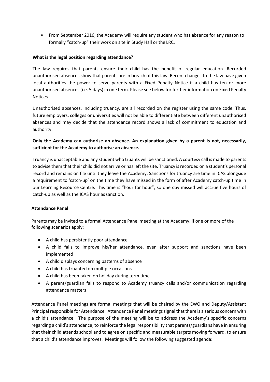• From September 2016, the Academy will require any student who has absence for any reason to formally "catch-up" their work on site in Study Hall or the LRC.

## **What is the legal position regarding attendance?**

The law requires that parents ensure their child has the benefit of regular education. Recorded unauthorised absences show that parents are in breach of this law. Recent changes to the law have given local authorities the power to serve parents with a Fixed Penalty Notice if a child has ten or more unauthorised absences (i.e. 5 days) in one term. Please see below for further information on Fixed Penalty Notices.

Unauthorised absences, including truancy, are all recorded on the register using the same code. Thus, future employers, colleges or universities will not be able to differentiate between different unauthorised absences and may decide that the attendance record shows a lack of commitment to education and authority.

## **Only the Academy can authorise an absence. An explanation given by a parent is not, necessarily, sufficient for the Academy to authorise an absence.**

Truancy is unacceptable and any student who truants will be sanctioned. A courtesy call is made to parents to advise them that their child did not arrive or has left the site. Truancy is recorded on a student's personal record and remains on file until they leave the Academy. Sanctions for truancy are time in ICAS alongside a requirement to 'catch-up' on the time they have missed in the form of after Academy catch-up time in our Learning Resource Centre. This time is "hour for hour", so one day missed will accrue five hours of catch-up as well as the ICAS hour as sanction.

## **Attendance Panel**

Parents may be invited to a formal Attendance Panel meeting at the Academy, if one or more of the following scenarios apply:

- A child has persistently poor attendance
- A child fails to improve his/her attendance, even after support and sanctions have been implemented
- A child displays concerning patterns of absence
- A child has truanted on multiple occasions
- A child has been taken on holiday during term time
- A parent/guardian fails to respond to Academy truancy calls and/or communication regarding attendance matters

Attendance Panel meetings are formal meetings that will be chaired by the EWO and Deputy/Assistant Principal responsible for Attendance. Attendance Panel meetings signal that there is a serious concern with a child's attendance. The purpose of the meeting will be to address the Academy's specific concerns regarding a child's attendance, to reinforce the legal responsibility that parents/guardians have in ensuring that their child attends school and to agree on specific and measurable targets moving forward, to ensure that a child's attendance improves. Meetings will follow the following suggested agenda: